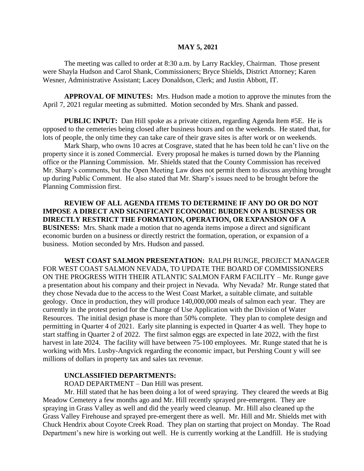## **MAY 5, 2021**

The meeting was called to order at 8:30 a.m. by Larry Rackley, Chairman. Those present were Shayla Hudson and Carol Shank, Commissioners; Bryce Shields, District Attorney; Karen Wesner, Administrative Assistant; Lacey Donaldson, Clerk; and Justin Abbott, IT.

**APPROVAL OF MINUTES:** Mrs. Hudson made a motion to approve the minutes from the April 7, 2021 regular meeting as submitted. Motion seconded by Mrs. Shank and passed.

**PUBLIC INPUT:** Dan Hill spoke as a private citizen, regarding Agenda Item #5E. He is opposed to the cemeteries being closed after business hours and on the weekends. He stated that, for lots of people, the only time they can take care of their grave sites is after work or on weekends.

Mark Sharp, who owns 10 acres at Cosgrave, stated that he has been told he can't live on the property since it is zoned Commercial. Every proposal he makes is turned down by the Planning office or the Planning Commission. Mr. Shields stated that the County Commission has received Mr. Sharp's comments, but the Open Meeting Law does not permit them to discuss anything brought up during Public Comment. He also stated that Mr. Sharp's issues need to be brought before the Planning Commission first.

**REVIEW OF ALL AGENDA ITEMS TO DETERMINE IF ANY DO OR DO NOT IMPOSE A DIRECT AND SIGNIFICANT ECONOMIC BURDEN ON A BUSINESS OR DIRECTLY RESTRICT THE FORMATION, OPERATION, OR EXPANSION OF A BUSINESS:** Mrs. Shank made a motion that no agenda items impose a direct and significant economic burden on a business or directly restrict the formation, operation, or expansion of a business. Motion seconded by Mrs. Hudson and passed.

**WEST COAST SALMON PRESENTATION:** RALPH RUNGE, PROJECT MANAGER FOR WEST COAST SALMON NEVADA, TO UPDATE THE BOARD OF COMMISSIONERS ON THE PROGRESS WITH THEIR ATLANTIC SALMON FARM FACILITY – Mr. Runge gave a presentation about his company and their project in Nevada. Why Nevada? Mr. Runge stated that they chose Nevada due to the access to the West Coast Market, a suitable climate, and suitable geology. Once in production, they will produce 140,000,000 meals of salmon each year. They are currently in the protest period for the Change of Use Application with the Division of Water Resources. The initial design phase is more than 50% complete. They plan to complete design and permitting in Quarter 4 of 2021. Early site planning is expected in Quarter 4 as well. They hope to start staffing in Quarter 2 of 2022. The first salmon eggs are expected in late 2022, with the first harvest in late 2024. The facility will have between 75-100 employees. Mr. Runge stated that he is working with Mrs. Lusby-Angvick regarding the economic impact, but Pershing Count y will see millions of dollars in property tax and sales tax revenue.

## **UNCLASSIFIED DEPARTMENTS:**

ROAD DEPARTMENT – Dan Hill was present.

Mr. Hill stated that he has been doing a lot of weed spraying. They cleared the weeds at Big Meadow Cemetery a few months ago and Mr. Hill recently sprayed pre-emergent. They are spraying in Grass Valley as well and did the yearly weed cleanup. Mr. Hill also cleaned up the Grass Valley Firehouse and sprayed pre-emergent there as well. Mr. Hill and Mr. Shields met with Chuck Hendrix about Coyote Creek Road. They plan on starting that project on Monday. The Road Department's new hire is working out well. He is currently working at the Landfill. He is studying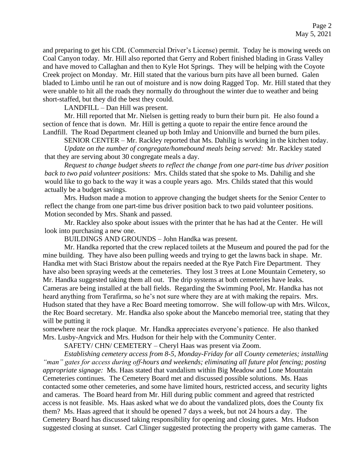and preparing to get his CDL (Commercial Driver's License) permit. Today he is mowing weeds on Coal Canyon today. Mr. Hill also reported that Gerry and Robert finished blading in Grass Valley and have moved to Callaghan and then to Kyle Hot Springs. They will be helping with the Coyote Creek project on Monday. Mr. Hill stated that the various burn pits have all been burned. Galen bladed to Limbo until he ran out of moisture and is now doing Ragged Top. Mr. Hill stated that they were unable to hit all the roads they normally do throughout the winter due to weather and being short-staffed, but they did the best they could.

LANDFILL – Dan Hill was present.

Mr. Hill reported that Mr. Nielsen is getting ready to burn their burn pit. He also found a section of fence that is down. Mr. Hill is getting a quote to repair the entire fence around the Landfill. The Road Department cleaned up both Imlay and Unionville and burned the burn piles.

SENIOR CENTER – Mr. Rackley reported that Ms. Dahilig is working in the kitchen today.

*Update on the number of congregate/homebound meals being served:* Mr. Rackley stated that they are serving about 30 congregate meals a day.

*Request to change budget sheets to reflect the change from one part-time bus driver position back to two paid volunteer positions:* Mrs. Childs stated that she spoke to Ms. Dahilig and she would like to go back to the way it was a couple years ago. Mrs. Childs stated that this would actually be a budget savings.

Mrs. Hudson made a motion to approve changing the budget sheets for the Senior Center to reflect the change from one part-time bus driver position back to two paid volunteer positions. Motion seconded by Mrs. Shank and passed.

Mr. Rackley also spoke about issues with the printer that he has had at the Center. He will look into purchasing a new one.

BUILDINGS AND GROUNDS – John Handka was present.

Mr. Handka reported that the crew replaced toilets at the Museum and poured the pad for the mine building. They have also been pulling weeds and trying to get the lawns back in shape. Mr. Handka met with Staci Bristow about the repairs needed at the Rye Patch Fire Department. They have also been spraying weeds at the cemeteries. They lost 3 trees at Lone Mountain Cemetery, so Mr. Handka suggested taking them all out. The drip systems at both cemeteries have leaks. Cameras are being installed at the ball fields. Regarding the Swimming Pool, Mr. Handka has not heard anything from Terafirma, so he's not sure where they are at with making the repairs. Mrs. Hudson stated that they have a Rec Board meeting tomorrow. She will follow-up with Mrs. Wilcox, the Rec Board secretary. Mr. Handka also spoke about the Mancebo memorial tree, stating that they will be putting it

somewhere near the rock plaque. Mr. Handka appreciates everyone's patience. He also thanked Mrs. Lusby-Angvick and Mrs. Hudson for their help with the Community Center.

SAFETY/ CHN/ CEMETERY – Cheryl Haas was present via Zoom.

*Establishing cemetery access from 8-5, Monday-Friday for all County cemeteries; installing "man" gates for access during off-hours and weekends; eliminating all future plot fencing; posting appropriate signage:* Ms. Haas stated that vandalism within Big Meadow and Lone Mountain Cemeteries continues. The Cemetery Board met and discussed possible solutions. Ms. Haas contacted some other cemeteries, and some have limited hours, restricted access, and security lights and cameras. The Board heard from Mr. Hill during public comment and agreed that restricted access is not feasible. Ms. Haas asked what we do about the vandalized plots, does the County fix them? Ms. Haas agreed that it should be opened 7 days a week, but not 24 hours a day. The Cemetery Board has discussed taking responsibility for opening and closing gates. Mrs. Hudson suggested closing at sunset. Carl Clinger suggested protecting the property with game cameras. The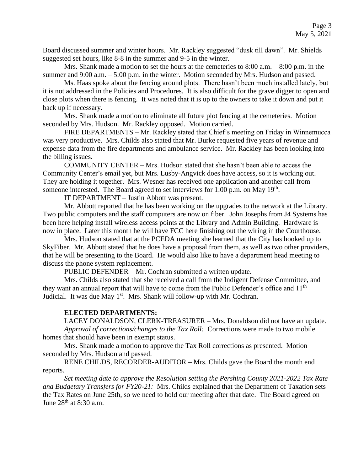Board discussed summer and winter hours. Mr. Rackley suggested "dusk till dawn". Mr. Shields suggested set hours, like 8-8 in the summer and 9-5 in the winter.

Mrs. Shank made a motion to set the hours at the cemeteries to 8:00 a.m. – 8:00 p.m. in the summer and 9:00 a.m. – 5:00 p.m. in the winter. Motion seconded by Mrs. Hudson and passed.

Ms. Haas spoke about the fencing around plots. There hasn't been much installed lately, but it is not addressed in the Policies and Procedures. It is also difficult for the grave digger to open and close plots when there is fencing. It was noted that it is up to the owners to take it down and put it back up if necessary.

Mrs. Shank made a motion to eliminate all future plot fencing at the cemeteries. Motion seconded by Mrs. Hudson. Mr. Rackley opposed. Motion carried.

FIRE DEPARTMENTS – Mr. Rackley stated that Chief's meeting on Friday in Winnemucca was very productive. Mrs. Childs also stated that Mr. Burke requested five years of revenue and expense data from the fire departments and ambulance service. Mr. Rackley has been looking into the billing issues.

COMMUNITY CENTER – Mrs. Hudson stated that she hasn't been able to access the Community Center's email yet, but Mrs. Lusby-Angvick does have access, so it is working out. They are holding it together. Mrs. Wesner has received one application and another call from someone interested. The Board agreed to set interviews for 1:00 p.m. on May 19<sup>th</sup>.

IT DEPARTMENT – Justin Abbott was present.

Mr. Abbott reported that he has been working on the upgrades to the network at the Library. Two public computers and the staff computers are now on fiber. John Josephs from J4 Systems has been here helping install wireless access points at the Library and Admin Building. Hardware is now in place. Later this month he will have FCC here finishing out the wiring in the Courthouse.

Mrs. Hudson stated that at the PCEDA meeting she learned that the City has hooked up to SkyFiber. Mr. Abbott stated that he does have a proposal from them, as well as two other providers, that he will be presenting to the Board. He would also like to have a department head meeting to discuss the phone system replacement.

PUBLIC DEFENDER – Mr. Cochran submitted a written update.

Mrs. Childs also stated that she received a call from the Indigent Defense Committee, and they want an annual report that will have to come from the Public Defender's office and  $11<sup>th</sup>$ Judicial. It was due May  $1<sup>st</sup>$ . Mrs. Shank will follow-up with Mr. Cochran.

## **ELECTED DEPARTMENTS:**

LACEY DONALDSON, CLERK-TREASURER – Mrs. Donaldson did not have an update. *Approval of corrections/changes to the Tax Roll:* Corrections were made to two mobile homes that should have been in exempt status.

Mrs. Shank made a motion to approve the Tax Roll corrections as presented. Motion seconded by Mrs. Hudson and passed.

RENE CHILDS, RECORDER-AUDITOR – Mrs. Childs gave the Board the month end reports.

*Set meeting date to approve the Resolution setting the Pershing County 2021-2022 Tax Rate and Budgetary Transfers for FY20-21:* Mrs. Childs explained that the Department of Taxation sets the Tax Rates on June 25th, so we need to hold our meeting after that date. The Board agreed on June 28<sup>th</sup> at 8:30 a.m.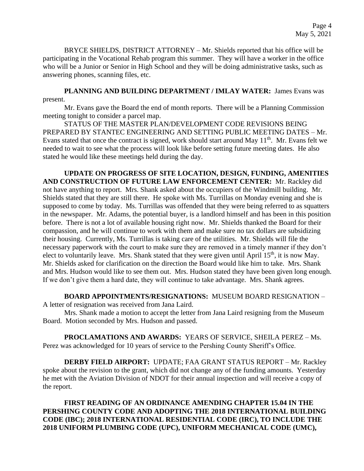BRYCE SHIELDS, DISTRICT ATTORNEY – Mr. Shields reported that his office will be participating in the Vocational Rehab program this summer. They will have a worker in the office who will be a Junior or Senior in High School and they will be doing administrative tasks, such as answering phones, scanning files, etc.

PLANNING AND BUILDING DEPARTMENT / IMLAY WATER: James Evans was present.

Mr. Evans gave the Board the end of month reports. There will be a Planning Commission meeting tonight to consider a parcel map.

STATUS OF THE MASTER PLAN/DEVELOPMENT CODE REVISIONS BEING PREPARED BY STANTEC ENGINEERING AND SETTING PUBLIC MEETING DATES – Mr. Evans stated that once the contract is signed, work should start around May 11<sup>th</sup>. Mr. Evans felt we needed to wait to see what the process will look like before setting future meeting dates. He also stated he would like these meetings held during the day.

**UPDATE ON PROGRESS OF SITE LOCATION, DESIGN, FUNDING, AMENITIES AND CONSTRUCTION OF FUTURE LAW ENFORCEMENT CENTER:** Mr. Rackley did not have anything to report. Mrs. Shank asked about the occupiers of the Windmill building. Mr. Shields stated that they are still there. He spoke with Ms. Turrillas on Monday evening and she is supposed to come by today. Ms. Turrillas was offended that they were being referred to as squatters in the newspaper. Mr. Adams, the potential buyer, is a landlord himself and has been in this position before. There is not a lot of available housing right now. Mr. Shields thanked the Board for their compassion, and he will continue to work with them and make sure no tax dollars are subsidizing their housing. Currently, Ms. Turrillas is taking care of the utilities. Mr. Shields will file the necessary paperwork with the court to make sure they are removed in a timely manner if they don't elect to voluntarily leave. Mrs. Shank stated that they were given until April  $15<sup>th</sup>$ , it is now May. Mr. Shields asked for clarification on the direction the Board would like him to take. Mrs. Shank and Mrs. Hudson would like to see them out. Mrs. Hudson stated they have been given long enough. If we don't give them a hard date, they will continue to take advantage. Mrs. Shank agrees.

**BOARD APPOINTMENTS/RESIGNATIONS:** MUSEUM BOARD RESIGNATION –

A letter of resignation was received from Jana Laird.

Mrs. Shank made a motion to accept the letter from Jana Laird resigning from the Museum Board. Motion seconded by Mrs. Hudson and passed.

**PROCLAMATIONS AND AWARDS:** YEARS OF SERVICE, SHEILA PEREZ – Ms. Perez was acknowledged for 10 years of service to the Pershing County Sheriff's Office.

**DERBY FIELD AIRPORT:** UPDATE; FAA GRANT STATUS REPORT – Mr. Rackley spoke about the revision to the grant, which did not change any of the funding amounts. Yesterday he met with the Aviation Division of NDOT for their annual inspection and will receive a copy of the report.

**FIRST READING OF AN ORDINANCE AMENDING CHAPTER 15.04 IN THE PERSHING COUNTY CODE AND ADOPTING THE 2018 INTERNATIONAL BUILDING CODE (IBC); 2018 INTERNATIONAL RESIDENTIAL CODE (IRC), TO INCLUDE THE 2018 UNIFORM PLUMBING CODE (UPC), UNIFORM MECHANICAL CODE (UMC),**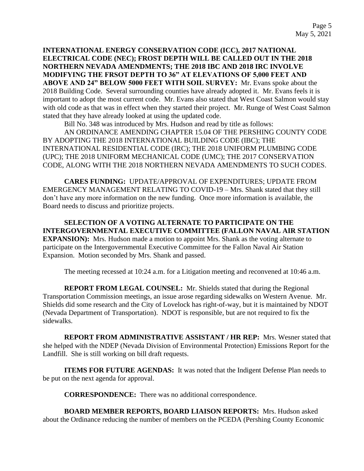**INTERNATIONAL ENERGY CONSERVATION CODE (ICC), 2017 NATIONAL ELECTRICAL CODE (NEC); FROST DEPTH WILL BE CALLED OUT IN THE 2018 NORTHERN NEVADA AMENDMENTS; THE 2018 IBC AND 2018 IRC INVOLVE MODIFYING THE FRSOT DEPTH TO 36" AT ELEVATIONS OF 5,000 FEET AND ABOVE AND 24" BELOW 5000 FEET WITH SOIL SURVEY:** Mr. Evans spoke about the 2018 Building Code. Several surrounding counties have already adopted it. Mr. Evans feels it is important to adopt the most current code. Mr. Evans also stated that West Coast Salmon would stay with old code as that was in effect when they started their project. Mr. Runge of West Coast Salmon stated that they have already looked at using the updated code.

Bill No. 348 was introduced by Mrs. Hudson and read by title as follows:

AN ORDINANCE AMENDING CHAPTER 15.04 OF THE PERSHING COUNTY CODE BY ADOPTING THE 2018 INTERNATIONAL BUILDING CODE (IBC); THE INTERNATIONAL RESIDENTIAL CODE (IRC); THE 2018 UNIFORM PLUMBING CODE (UPC); THE 2018 UNIFORM MECHANICAL CODE (UMC); THE 2017 CONSERVATION CODE, ALONG WITH THE 2018 NORTHERN NEVADA AMENDMENTS TO SUCH CODES.

**CARES FUNDING:** UPDATE/APPROVAL OF EXPENDITURES; UPDATE FROM EMERGENCY MANAGEMENT RELATING TO COVID-19 – Mrs. Shank stated that they still don't have any more information on the new funding. Once more information is available, the Board needs to discuss and prioritize projects.

**SELECTION OF A VOTING ALTERNATE TO PARTICIPATE ON THE INTERGOVERNMENTAL EXECUTIVE COMMITTEE (FALLON NAVAL AIR STATION EXPANSION):** Mrs. Hudson made a motion to appoint Mrs. Shank as the voting alternate to participate on the Intergovernmental Executive Committee for the Fallon Naval Air Station Expansion. Motion seconded by Mrs. Shank and passed.

The meeting recessed at 10:24 a.m. for a Litigation meeting and reconvened at 10:46 a.m.

**REPORT FROM LEGAL COUNSEL:** Mr. Shields stated that during the Regional Transportation Commission meetings, an issue arose regarding sidewalks on Western Avenue. Mr. Shields did some research and the City of Lovelock has right-of-way, but it is maintained by NDOT (Nevada Department of Transportation). NDOT is responsible, but are not required to fix the sidewalks.

**REPORT FROM ADMINISTRATIVE ASSISTANT / HR REP:** Mrs. Wesner stated that she helped with the NDEP (Nevada Division of Environmental Protection) Emissions Report for the Landfill. She is still working on bill draft requests.

**ITEMS FOR FUTURE AGENDAS:** It was noted that the Indigent Defense Plan needs to be put on the next agenda for approval.

**CORRESPONDENCE:** There was no additional correspondence.

**BOARD MEMBER REPORTS, BOARD LIAISON REPORTS:** Mrs. Hudson asked about the Ordinance reducing the number of members on the PCEDA (Pershing County Economic